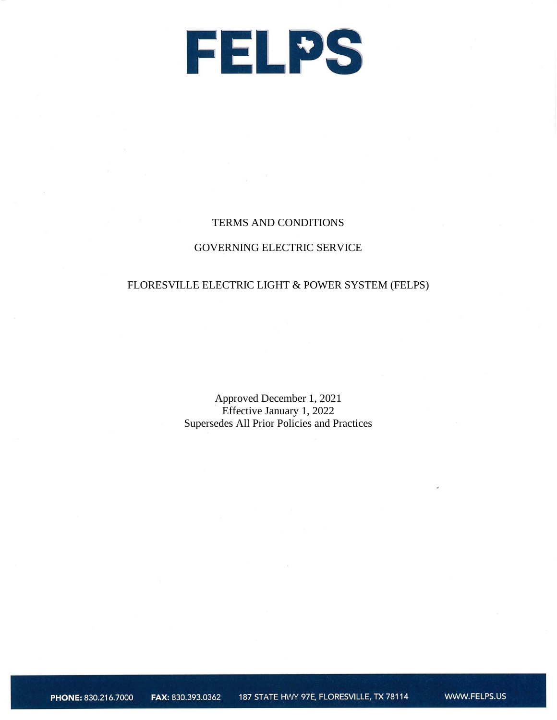

#### TERMS AND CONDITIONS

#### GOVERNING ELECTRIC SERVICE

### FLORESVILLE ELECTRIC LIGHT & POWER SYSTEM (FELPS)

Approved December 1, 2021 Effective January 1, 2022 Supersedes All Prior Policies and Practices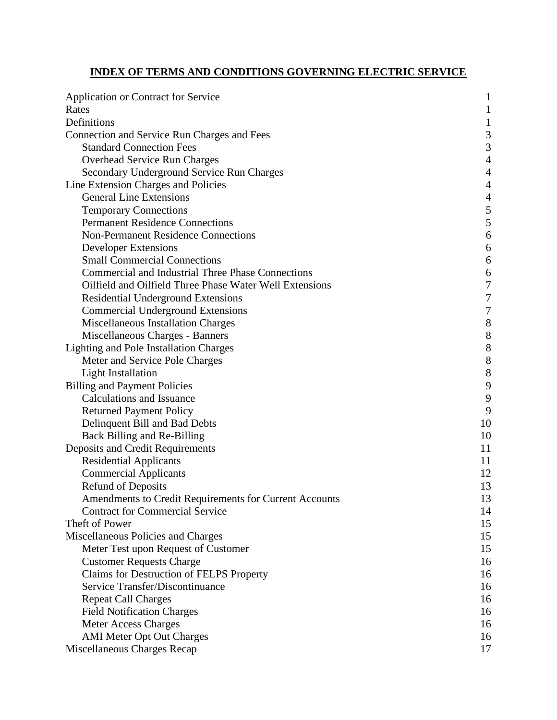## **INDEX OF TERMS AND CONDITIONS GOVERNING ELECTRIC SERVICE**

| <b>Application or Contract for Service</b>               | $\mathbf{1}$             |
|----------------------------------------------------------|--------------------------|
| Rates                                                    | $\mathbf{1}$             |
| Definitions                                              | $\mathbf{1}$             |
| Connection and Service Run Charges and Fees              | 3                        |
| <b>Standard Connection Fees</b>                          | 3                        |
| Overhead Service Run Charges                             | $\overline{4}$           |
| Secondary Underground Service Run Charges                | $\overline{4}$           |
| Line Extension Charges and Policies                      | $\overline{4}$           |
| <b>General Line Extensions</b>                           | $\overline{\mathcal{L}}$ |
| <b>Temporary Connections</b>                             | 5                        |
| <b>Permanent Residence Connections</b>                   | 5                        |
| <b>Non-Permanent Residence Connections</b>               | 6                        |
| <b>Developer Extensions</b>                              | 6                        |
| <b>Small Commercial Connections</b>                      | 6                        |
| <b>Commercial and Industrial Three Phase Connections</b> | 6                        |
| Oilfield and Oilfield Three Phase Water Well Extensions  | $\overline{7}$           |
| <b>Residential Underground Extensions</b>                | $\overline{7}$           |
| <b>Commercial Underground Extensions</b>                 | $\overline{7}$           |
| Miscellaneous Installation Charges                       | 8                        |
| Miscellaneous Charges - Banners                          | 8                        |
| Lighting and Pole Installation Charges                   | 8                        |
| Meter and Service Pole Charges                           | 8                        |
| <b>Light Installation</b>                                | 8                        |
| <b>Billing and Payment Policies</b>                      | 9                        |
| <b>Calculations and Issuance</b>                         | 9                        |
| <b>Returned Payment Policy</b>                           | 9                        |
| Delinquent Bill and Bad Debts                            | 10                       |
| Back Billing and Re-Billing                              | 10                       |
| Deposits and Credit Requirements                         | 11                       |
| <b>Residential Applicants</b>                            | 11                       |
| <b>Commercial Applicants</b>                             | 12                       |
| <b>Refund of Deposits</b>                                | 13                       |
| Amendments to Credit Requirements for Current Accounts   | 13                       |
| <b>Contract for Commercial Service</b>                   | 14                       |
| Theft of Power                                           | 15                       |
| Miscellaneous Policies and Charges                       | 15                       |
| Meter Test upon Request of Customer                      | 15                       |
| <b>Customer Requests Charge</b>                          | 16                       |
| Claims for Destruction of FELPS Property                 | 16                       |
| Service Transfer/Discontinuance                          | 16                       |
| <b>Repeat Call Charges</b>                               | 16                       |
| <b>Field Notification Charges</b>                        | 16                       |
| <b>Meter Access Charges</b>                              | 16                       |
| <b>AMI Meter Opt Out Charges</b>                         | 16                       |
| Miscellaneous Charges Recap                              | 17                       |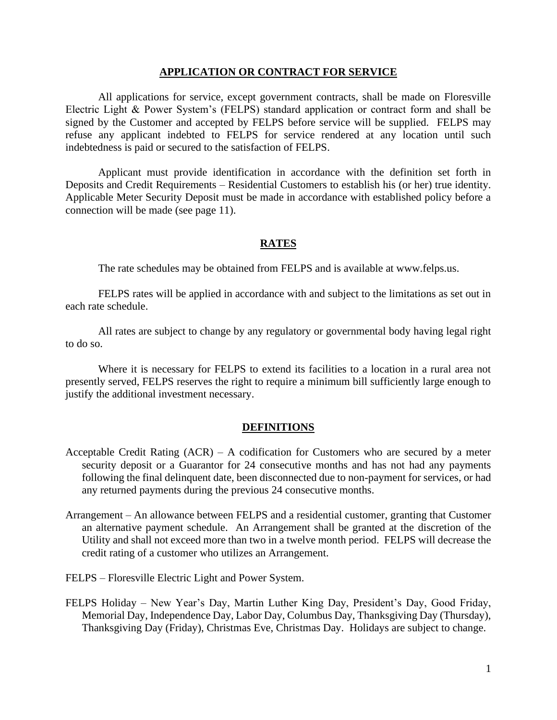#### **APPLICATION OR CONTRACT FOR SERVICE**

All applications for service, except government contracts, shall be made on Floresville Electric Light & Power System's (FELPS) standard application or contract form and shall be signed by the Customer and accepted by FELPS before service will be supplied. FELPS may refuse any applicant indebted to FELPS for service rendered at any location until such indebtedness is paid or secured to the satisfaction of FELPS.

Applicant must provide identification in accordance with the definition set forth in Deposits and Credit Requirements – Residential Customers to establish his (or her) true identity. Applicable Meter Security Deposit must be made in accordance with established policy before a connection will be made (see page 11).

#### **RATES**

The rate schedules may be obtained from FELPS and is available at www.felps.us.

FELPS rates will be applied in accordance with and subject to the limitations as set out in each rate schedule.

All rates are subject to change by any regulatory or governmental body having legal right to do so.

Where it is necessary for FELPS to extend its facilities to a location in a rural area not presently served, FELPS reserves the right to require a minimum bill sufficiently large enough to justify the additional investment necessary.

#### **DEFINITIONS**

- Acceptable Credit Rating  $(ACR) A$  codification for Customers who are secured by a meter security deposit or a Guarantor for 24 consecutive months and has not had any payments following the final delinquent date, been disconnected due to non-payment for services, or had any returned payments during the previous 24 consecutive months.
- Arrangement An allowance between FELPS and a residential customer, granting that Customer an alternative payment schedule. An Arrangement shall be granted at the discretion of the Utility and shall not exceed more than two in a twelve month period. FELPS will decrease the credit rating of a customer who utilizes an Arrangement.
- FELPS Floresville Electric Light and Power System.
- FELPS Holiday New Year's Day, Martin Luther King Day, President's Day, Good Friday, Memorial Day, Independence Day, Labor Day, Columbus Day, Thanksgiving Day (Thursday), Thanksgiving Day (Friday), Christmas Eve, Christmas Day. Holidays are subject to change.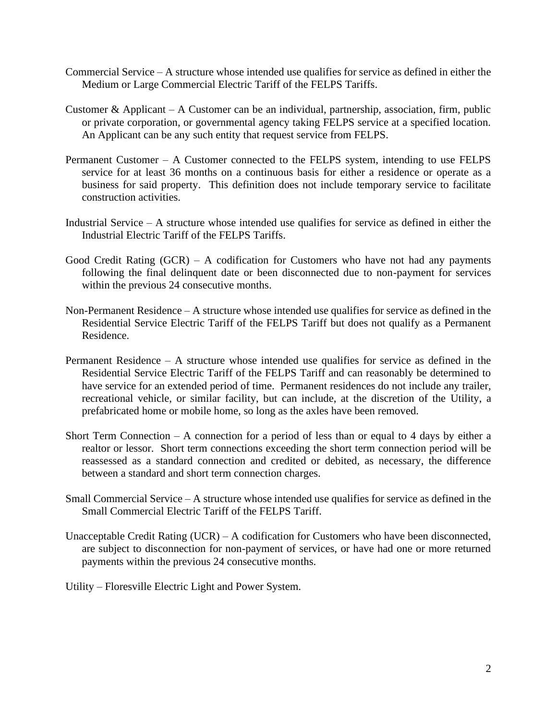- Commercial Service  $-A$  structure whose intended use qualifies for service as defined in either the Medium or Large Commercial Electric Tariff of the FELPS Tariffs.
- Customer & Applicant A Customer can be an individual, partnership, association, firm, public or private corporation, or governmental agency taking FELPS service at a specified location. An Applicant can be any such entity that request service from FELPS.
- Permanent Customer A Customer connected to the FELPS system, intending to use FELPS service for at least 36 months on a continuous basis for either a residence or operate as a business for said property. This definition does not include temporary service to facilitate construction activities.
- Industrial Service A structure whose intended use qualifies for service as defined in either the Industrial Electric Tariff of the FELPS Tariffs.
- Good Credit Rating  $(GCR) A$  codification for Customers who have not had any payments following the final delinquent date or been disconnected due to non-payment for services within the previous 24 consecutive months.
- Non-Permanent Residence A structure whose intended use qualifies for service as defined in the Residential Service Electric Tariff of the FELPS Tariff but does not qualify as a Permanent Residence.
- Permanent Residence A structure whose intended use qualifies for service as defined in the Residential Service Electric Tariff of the FELPS Tariff and can reasonably be determined to have service for an extended period of time. Permanent residences do not include any trailer, recreational vehicle, or similar facility, but can include, at the discretion of the Utility, a prefabricated home or mobile home, so long as the axles have been removed.
- Short Term Connection A connection for a period of less than or equal to 4 days by either a realtor or lessor. Short term connections exceeding the short term connection period will be reassessed as a standard connection and credited or debited, as necessary, the difference between a standard and short term connection charges.
- Small Commercial Service A structure whose intended use qualifies for service as defined in the Small Commercial Electric Tariff of the FELPS Tariff.
- Unacceptable Credit Rating (UCR) A codification for Customers who have been disconnected, are subject to disconnection for non-payment of services, or have had one or more returned payments within the previous 24 consecutive months.
- Utility Floresville Electric Light and Power System.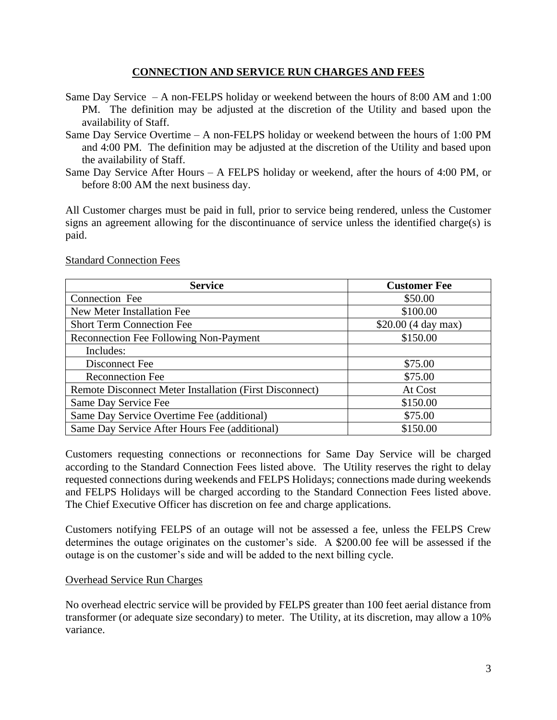### **CONNECTION AND SERVICE RUN CHARGES AND FEES**

- Same Day Service A non-FELPS holiday or weekend between the hours of 8:00 AM and 1:00 PM. The definition may be adjusted at the discretion of the Utility and based upon the availability of Staff.
- Same Day Service Overtime A non-FELPS holiday or weekend between the hours of 1:00 PM and 4:00 PM. The definition may be adjusted at the discretion of the Utility and based upon the availability of Staff.
- Same Day Service After Hours A FELPS holiday or weekend, after the hours of 4:00 PM, or before 8:00 AM the next business day.

All Customer charges must be paid in full, prior to service being rendered, unless the Customer signs an agreement allowing for the discontinuance of service unless the identified charge(s) is paid.

## **Service Customer Fee** Connection Fee  $$50.00$ New Meter Installation Fee  $$100.00$ Short Term Connection Fee \$20.00 (4 day max) Reconnection Fee Following Non-Payment \$150.00 Includes: Disconnect Fee  $$75.00$ Reconnection Fee  $$75.00$ Remote Disconnect Meter Installation (First Disconnect) At Cost Same Day Service Fee  $$150.00$ Same Day Service Overtime Fee (additional)  $$75.00$ Same Day Service After Hours Fee (additional) \$150.00

Standard Connection Fees

Customers requesting connections or reconnections for Same Day Service will be charged according to the Standard Connection Fees listed above. The Utility reserves the right to delay requested connections during weekends and FELPS Holidays; connections made during weekends and FELPS Holidays will be charged according to the Standard Connection Fees listed above. The Chief Executive Officer has discretion on fee and charge applications.

Customers notifying FELPS of an outage will not be assessed a fee, unless the FELPS Crew determines the outage originates on the customer's side. A \$200.00 fee will be assessed if the outage is on the customer's side and will be added to the next billing cycle.

### Overhead Service Run Charges

No overhead electric service will be provided by FELPS greater than 100 feet aerial distance from transformer (or adequate size secondary) to meter. The Utility, at its discretion, may allow a 10% variance.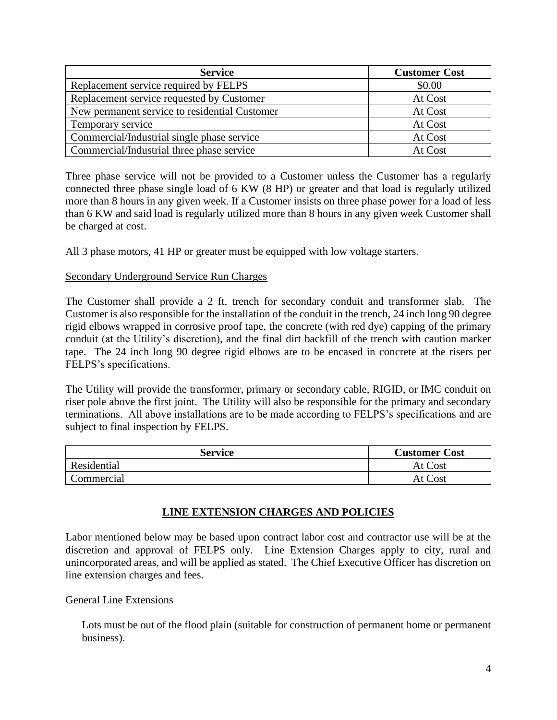| <b>Service</b>                                | <b>Customer Cost</b> |
|-----------------------------------------------|----------------------|
| Replacement service required by FELPS         | \$0.00               |
| Replacement service requested by Customer     | At Cost              |
| New permanent service to residential Customer | At Cost              |
| Temporary service                             | At Cost              |
| Commercial/Industrial single phase service    | At Cost              |
| Commercial/Industrial three phase service     | At Cost              |

Three phase service will not be provided to a Customer unless the Customer has a regularly connected three phase single load of 6 KW (8 HP) or greater and that load is regularly utilized more than 8 hours in any given week. If a Customer insists on three phase power for a load of less than 6 KW and said load is regularly utilized more than 8 hours in any given week Customer shall be charged at cost.

All 3 phase motors, 41 HP or greater must be equipped with low voltage starters.

### Secondary Underground Service Run Charges

The Customer shall provide a 2 ft. trench for secondary conduit and transformer slab. The Customer is also responsible for the installation of the conduit in the trench, 24 inch long 90 degree rigid elbows wrapped in corrosive proof tape, the concrete (with red dye) capping of the primary conduit (at the Utility's discretion), and the final dirt backfill of the trench with caution marker tape. The 24 inch long 90 degree rigid elbows are to be encased in concrete at the risers per FELPS's specifications.

The Utility will provide the transformer, primary or secondary cable, RIGID, or IMC conduit on riser pole above the first joint. The Utility will also be responsible for the primary and secondary terminations. All above installations are to be made according to FELPS's specifications and are subject to final inspection by FELPS.

| Service     | <b>Customer Cost</b> |
|-------------|----------------------|
| Residential | At Cost              |
| Commercial  | At Cost              |

## **LINE EXTENSION CHARGES AND POLICIES**

Labor mentioned below may be based upon contract labor cost and contractor use will be at the discretion and approval of FELPS only. Line Extension Charges apply to city, rural and unincorporated areas, and will be applied as stated. The Chief Executive Officer has discretion on line extension charges and fees.

### General Line Extensions

Lots must be out of the flood plain (suitable for construction of permanent home or permanent business).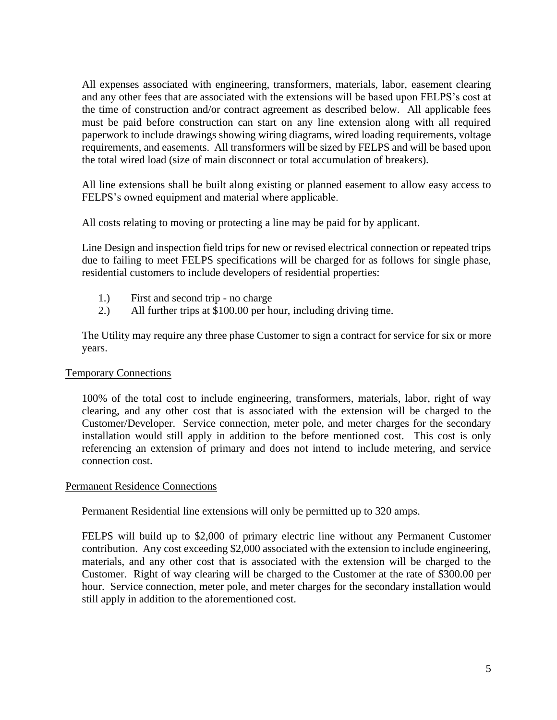All expenses associated with engineering, transformers, materials, labor, easement clearing and any other fees that are associated with the extensions will be based upon FELPS's cost at the time of construction and/or contract agreement as described below. All applicable fees must be paid before construction can start on any line extension along with all required paperwork to include drawings showing wiring diagrams, wired loading requirements, voltage requirements, and easements. All transformers will be sized by FELPS and will be based upon the total wired load (size of main disconnect or total accumulation of breakers).

All line extensions shall be built along existing or planned easement to allow easy access to FELPS's owned equipment and material where applicable.

All costs relating to moving or protecting a line may be paid for by applicant.

Line Design and inspection field trips for new or revised electrical connection or repeated trips due to failing to meet FELPS specifications will be charged for as follows for single phase, residential customers to include developers of residential properties:

- 1.) First and second trip no charge
- 2.) All further trips at \$100.00 per hour, including driving time.

The Utility may require any three phase Customer to sign a contract for service for six or more years.

### Temporary Connections

100% of the total cost to include engineering, transformers, materials, labor, right of way clearing, and any other cost that is associated with the extension will be charged to the Customer/Developer. Service connection, meter pole, and meter charges for the secondary installation would still apply in addition to the before mentioned cost. This cost is only referencing an extension of primary and does not intend to include metering, and service connection cost.

### Permanent Residence Connections

Permanent Residential line extensions will only be permitted up to 320 amps.

FELPS will build up to \$2,000 of primary electric line without any Permanent Customer contribution. Any cost exceeding \$2,000 associated with the extension to include engineering, materials, and any other cost that is associated with the extension will be charged to the Customer. Right of way clearing will be charged to the Customer at the rate of \$300.00 per hour. Service connection, meter pole, and meter charges for the secondary installation would still apply in addition to the aforementioned cost.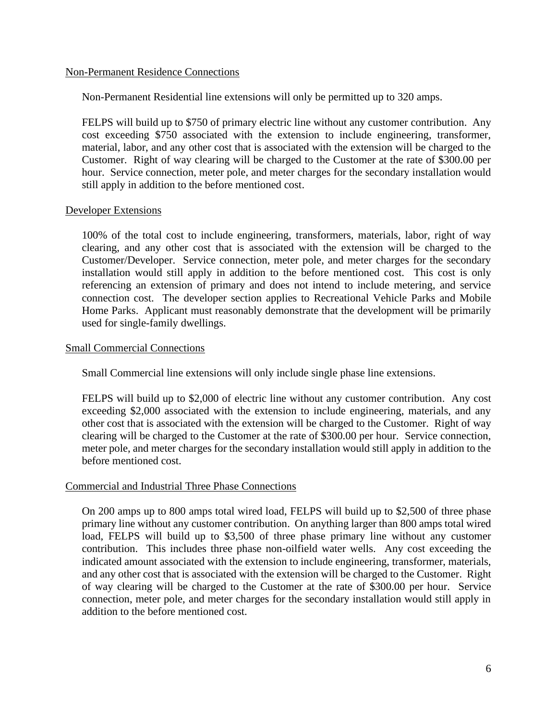#### Non-Permanent Residence Connections

Non-Permanent Residential line extensions will only be permitted up to 320 amps.

FELPS will build up to \$750 of primary electric line without any customer contribution. Any cost exceeding \$750 associated with the extension to include engineering, transformer, material, labor, and any other cost that is associated with the extension will be charged to the Customer. Right of way clearing will be charged to the Customer at the rate of \$300.00 per hour. Service connection, meter pole, and meter charges for the secondary installation would still apply in addition to the before mentioned cost.

### Developer Extensions

100% of the total cost to include engineering, transformers, materials, labor, right of way clearing, and any other cost that is associated with the extension will be charged to the Customer/Developer. Service connection, meter pole, and meter charges for the secondary installation would still apply in addition to the before mentioned cost. This cost is only referencing an extension of primary and does not intend to include metering, and service connection cost. The developer section applies to Recreational Vehicle Parks and Mobile Home Parks. Applicant must reasonably demonstrate that the development will be primarily used for single-family dwellings.

### Small Commercial Connections

Small Commercial line extensions will only include single phase line extensions.

FELPS will build up to \$2,000 of electric line without any customer contribution. Any cost exceeding \$2,000 associated with the extension to include engineering, materials, and any other cost that is associated with the extension will be charged to the Customer. Right of way clearing will be charged to the Customer at the rate of \$300.00 per hour. Service connection, meter pole, and meter charges for the secondary installation would still apply in addition to the before mentioned cost.

### Commercial and Industrial Three Phase Connections

On 200 amps up to 800 amps total wired load, FELPS will build up to \$2,500 of three phase primary line without any customer contribution. On anything larger than 800 amps total wired load, FELPS will build up to \$3,500 of three phase primary line without any customer contribution. This includes three phase non-oilfield water wells. Any cost exceeding the indicated amount associated with the extension to include engineering, transformer, materials, and any other cost that is associated with the extension will be charged to the Customer. Right of way clearing will be charged to the Customer at the rate of \$300.00 per hour. Service connection, meter pole, and meter charges for the secondary installation would still apply in addition to the before mentioned cost.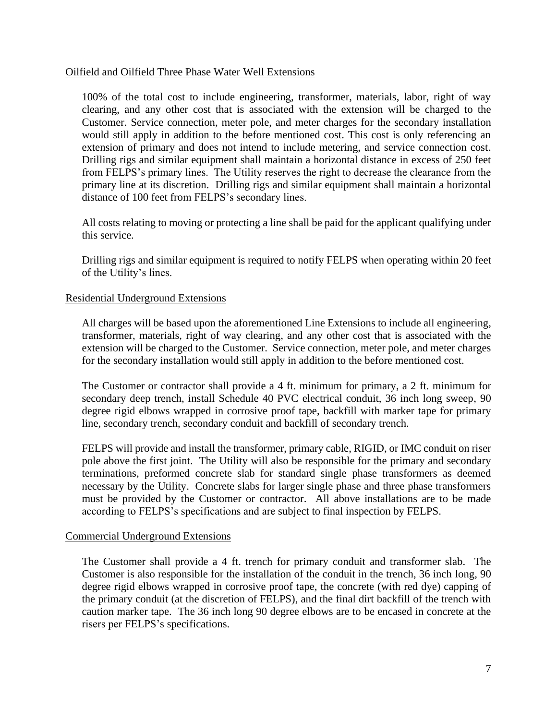#### Oilfield and Oilfield Three Phase Water Well Extensions

100% of the total cost to include engineering, transformer, materials, labor, right of way clearing, and any other cost that is associated with the extension will be charged to the Customer. Service connection, meter pole, and meter charges for the secondary installation would still apply in addition to the before mentioned cost. This cost is only referencing an extension of primary and does not intend to include metering, and service connection cost. Drilling rigs and similar equipment shall maintain a horizontal distance in excess of 250 feet from FELPS's primary lines. The Utility reserves the right to decrease the clearance from the primary line at its discretion. Drilling rigs and similar equipment shall maintain a horizontal distance of 100 feet from FELPS's secondary lines.

All costs relating to moving or protecting a line shall be paid for the applicant qualifying under this service.

Drilling rigs and similar equipment is required to notify FELPS when operating within 20 feet of the Utility's lines.

### Residential Underground Extensions

All charges will be based upon the aforementioned Line Extensions to include all engineering, transformer, materials, right of way clearing, and any other cost that is associated with the extension will be charged to the Customer. Service connection, meter pole, and meter charges for the secondary installation would still apply in addition to the before mentioned cost.

The Customer or contractor shall provide a 4 ft. minimum for primary, a 2 ft. minimum for secondary deep trench, install Schedule 40 PVC electrical conduit, 36 inch long sweep, 90 degree rigid elbows wrapped in corrosive proof tape, backfill with marker tape for primary line, secondary trench, secondary conduit and backfill of secondary trench.

FELPS will provide and install the transformer, primary cable, RIGID, or IMC conduit on riser pole above the first joint. The Utility will also be responsible for the primary and secondary terminations, preformed concrete slab for standard single phase transformers as deemed necessary by the Utility. Concrete slabs for larger single phase and three phase transformers must be provided by the Customer or contractor. All above installations are to be made according to FELPS's specifications and are subject to final inspection by FELPS.

### Commercial Underground Extensions

The Customer shall provide a 4 ft. trench for primary conduit and transformer slab. The Customer is also responsible for the installation of the conduit in the trench, 36 inch long, 90 degree rigid elbows wrapped in corrosive proof tape, the concrete (with red dye) capping of the primary conduit (at the discretion of FELPS), and the final dirt backfill of the trench with caution marker tape. The 36 inch long 90 degree elbows are to be encased in concrete at the risers per FELPS's specifications.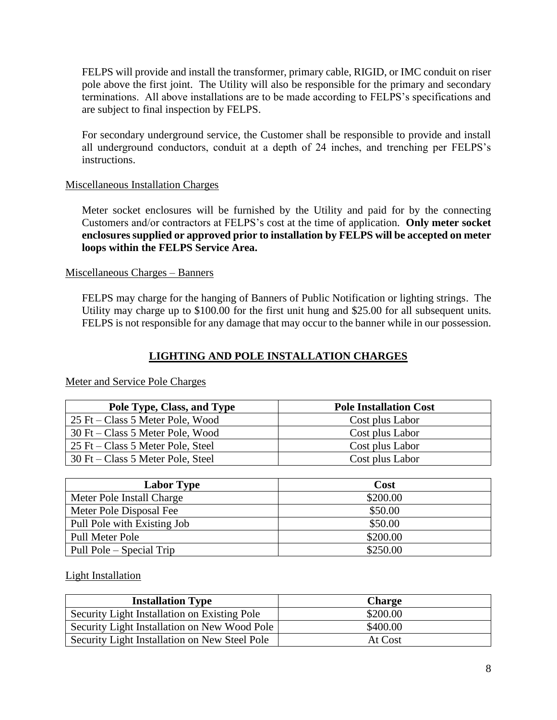FELPS will provide and install the transformer, primary cable, RIGID, or IMC conduit on riser pole above the first joint. The Utility will also be responsible for the primary and secondary terminations. All above installations are to be made according to FELPS's specifications and are subject to final inspection by FELPS.

For secondary underground service, the Customer shall be responsible to provide and install all underground conductors, conduit at a depth of 24 inches, and trenching per FELPS's instructions.

### Miscellaneous Installation Charges

Meter socket enclosures will be furnished by the Utility and paid for by the connecting Customers and/or contractors at FELPS's cost at the time of application. **Only meter socket enclosures supplied or approved prior to installation by FELPS will be accepted on meter loops within the FELPS Service Area.**

### Miscellaneous Charges – Banners

FELPS may charge for the hanging of Banners of Public Notification or lighting strings. The Utility may charge up to \$100.00 for the first unit hung and \$25.00 for all subsequent units. FELPS is not responsible for any damage that may occur to the banner while in our possession.

## **LIGHTING AND POLE INSTALLATION CHARGES**

| Pole Type, Class, and Type        | <b>Pole Installation Cost</b> |
|-----------------------------------|-------------------------------|
| 25 Ft – Class 5 Meter Pole, Wood  | Cost plus Labor               |
| 30 Ft – Class 5 Meter Pole, Wood  | Cost plus Labor               |
| 25 Ft – Class 5 Meter Pole, Steel | Cost plus Labor               |
| 30 Ft – Class 5 Meter Pole, Steel | Cost plus Labor               |

Meter and Service Pole Charges

| <b>Labor Type</b>           | Cost     |
|-----------------------------|----------|
| Meter Pole Install Charge   | \$200.00 |
| Meter Pole Disposal Fee     | \$50.00  |
| Pull Pole with Existing Job | \$50.00  |
| Pull Meter Pole             | \$200.00 |
| Pull Pole – Special Trip    | \$250.00 |

### Light Installation

| <b>Installation Type</b>                      | <b>Charge</b> |
|-----------------------------------------------|---------------|
| Security Light Installation on Existing Pole  | \$200.00      |
| Security Light Installation on New Wood Pole  | \$400.00      |
| Security Light Installation on New Steel Pole | At Cost       |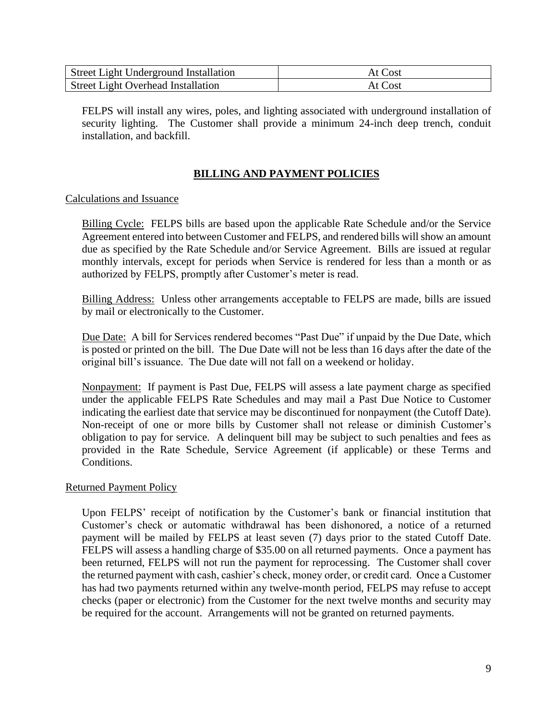| <b>Street Light Underground Installation</b> | At Cost |
|----------------------------------------------|---------|
| <b>Street Light Overhead Installation</b>    | At Cost |

FELPS will install any wires, poles, and lighting associated with underground installation of security lighting. The Customer shall provide a minimum 24-inch deep trench, conduit installation, and backfill.

## **BILLING AND PAYMENT POLICIES**

### Calculations and Issuance

Billing Cycle: FELPS bills are based upon the applicable Rate Schedule and/or the Service Agreement entered into between Customer and FELPS, and rendered bills will show an amount due as specified by the Rate Schedule and/or Service Agreement. Bills are issued at regular monthly intervals, except for periods when Service is rendered for less than a month or as authorized by FELPS, promptly after Customer's meter is read.

Billing Address: Unless other arrangements acceptable to FELPS are made, bills are issued by mail or electronically to the Customer.

Due Date: A bill for Services rendered becomes "Past Due" if unpaid by the Due Date, which is posted or printed on the bill. The Due Date will not be less than 16 days after the date of the original bill's issuance. The Due date will not fall on a weekend or holiday.

Nonpayment: If payment is Past Due, FELPS will assess a late payment charge as specified under the applicable FELPS Rate Schedules and may mail a Past Due Notice to Customer indicating the earliest date that service may be discontinued for nonpayment (the Cutoff Date). Non-receipt of one or more bills by Customer shall not release or diminish Customer's obligation to pay for service. A delinquent bill may be subject to such penalties and fees as provided in the Rate Schedule, Service Agreement (if applicable) or these Terms and Conditions.

### Returned Payment Policy

Upon FELPS' receipt of notification by the Customer's bank or financial institution that Customer's check or automatic withdrawal has been dishonored, a notice of a returned payment will be mailed by FELPS at least seven (7) days prior to the stated Cutoff Date. FELPS will assess a handling charge of \$35.00 on all returned payments. Once a payment has been returned, FELPS will not run the payment for reprocessing. The Customer shall cover the returned payment with cash, cashier's check, money order, or credit card. Once a Customer has had two payments returned within any twelve-month period, FELPS may refuse to accept checks (paper or electronic) from the Customer for the next twelve months and security may be required for the account. Arrangements will not be granted on returned payments.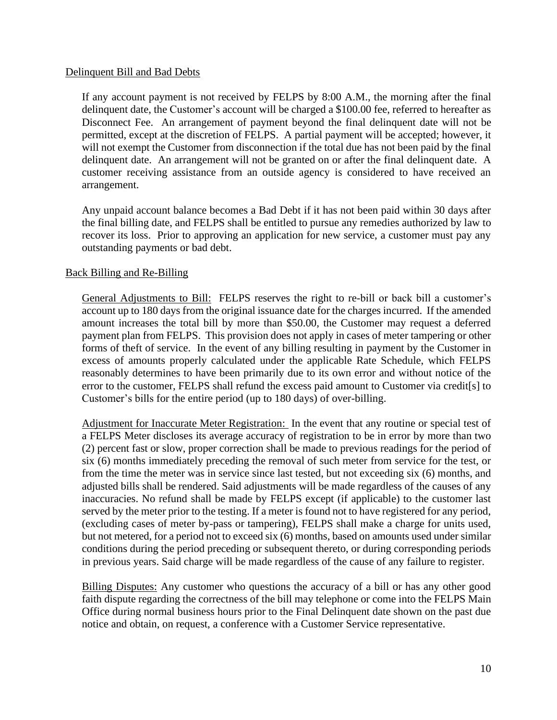### Delinquent Bill and Bad Debts

If any account payment is not received by FELPS by 8:00 A.M., the morning after the final delinquent date, the Customer's account will be charged a \$100.00 fee, referred to hereafter as Disconnect Fee. An arrangement of payment beyond the final delinquent date will not be permitted, except at the discretion of FELPS. A partial payment will be accepted; however, it will not exempt the Customer from disconnection if the total due has not been paid by the final delinquent date. An arrangement will not be granted on or after the final delinquent date. A customer receiving assistance from an outside agency is considered to have received an arrangement.

Any unpaid account balance becomes a Bad Debt if it has not been paid within 30 days after the final billing date, and FELPS shall be entitled to pursue any remedies authorized by law to recover its loss. Prior to approving an application for new service, a customer must pay any outstanding payments or bad debt.

### Back Billing and Re-Billing

General Adjustments to Bill: FELPS reserves the right to re-bill or back bill a customer's account up to 180 days from the original issuance date for the charges incurred. If the amended amount increases the total bill by more than \$50.00, the Customer may request a deferred payment plan from FELPS. This provision does not apply in cases of meter tampering or other forms of theft of service. In the event of any billing resulting in payment by the Customer in excess of amounts properly calculated under the applicable Rate Schedule, which FELPS reasonably determines to have been primarily due to its own error and without notice of the error to the customer, FELPS shall refund the excess paid amount to Customer via credit[s] to Customer's bills for the entire period (up to 180 days) of over-billing.

Adjustment for Inaccurate Meter Registration: In the event that any routine or special test of a FELPS Meter discloses its average accuracy of registration to be in error by more than two (2) percent fast or slow, proper correction shall be made to previous readings for the period of six (6) months immediately preceding the removal of such meter from service for the test, or from the time the meter was in service since last tested, but not exceeding six (6) months, and adjusted bills shall be rendered. Said adjustments will be made regardless of the causes of any inaccuracies. No refund shall be made by FELPS except (if applicable) to the customer last served by the meter prior to the testing. If a meter is found not to have registered for any period, (excluding cases of meter by-pass or tampering), FELPS shall make a charge for units used, but not metered, for a period not to exceed six (6) months, based on amounts used under similar conditions during the period preceding or subsequent thereto, or during corresponding periods in previous years. Said charge will be made regardless of the cause of any failure to register.

Billing Disputes: Any customer who questions the accuracy of a bill or has any other good faith dispute regarding the correctness of the bill may telephone or come into the FELPS Main Office during normal business hours prior to the Final Delinquent date shown on the past due notice and obtain, on request, a conference with a Customer Service representative.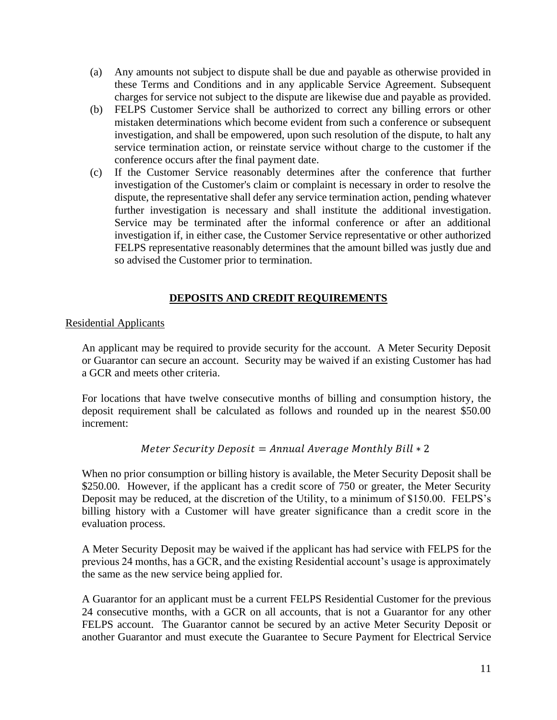- (a) Any amounts not subject to dispute shall be due and payable as otherwise provided in these Terms and Conditions and in any applicable Service Agreement. Subsequent charges for service not subject to the dispute are likewise due and payable as provided.
- (b) FELPS Customer Service shall be authorized to correct any billing errors or other mistaken determinations which become evident from such a conference or subsequent investigation, and shall be empowered, upon such resolution of the dispute, to halt any service termination action, or reinstate service without charge to the customer if the conference occurs after the final payment date.
- (c) If the Customer Service reasonably determines after the conference that further investigation of the Customer's claim or complaint is necessary in order to resolve the dispute, the representative shall defer any service termination action, pending whatever further investigation is necessary and shall institute the additional investigation. Service may be terminated after the informal conference or after an additional investigation if, in either case, the Customer Service representative or other authorized FELPS representative reasonably determines that the amount billed was justly due and so advised the Customer prior to termination.

## **DEPOSITS AND CREDIT REQUIREMENTS**

### Residential Applicants

An applicant may be required to provide security for the account. A Meter Security Deposit or Guarantor can secure an account. Security may be waived if an existing Customer has had a GCR and meets other criteria.

For locations that have twelve consecutive months of billing and consumption history, the deposit requirement shall be calculated as follows and rounded up in the nearest \$50.00 increment:

## Meter Security Deposit = Annual Average Monthly Bill  $* 2$

When no prior consumption or billing history is available, the Meter Security Deposit shall be \$250.00. However, if the applicant has a credit score of 750 or greater, the Meter Security Deposit may be reduced, at the discretion of the Utility, to a minimum of \$150.00. FELPS's billing history with a Customer will have greater significance than a credit score in the evaluation process.

A Meter Security Deposit may be waived if the applicant has had service with FELPS for the previous 24 months, has a GCR, and the existing Residential account's usage is approximately the same as the new service being applied for.

A Guarantor for an applicant must be a current FELPS Residential Customer for the previous 24 consecutive months, with a GCR on all accounts, that is not a Guarantor for any other FELPS account. The Guarantor cannot be secured by an active Meter Security Deposit or another Guarantor and must execute the Guarantee to Secure Payment for Electrical Service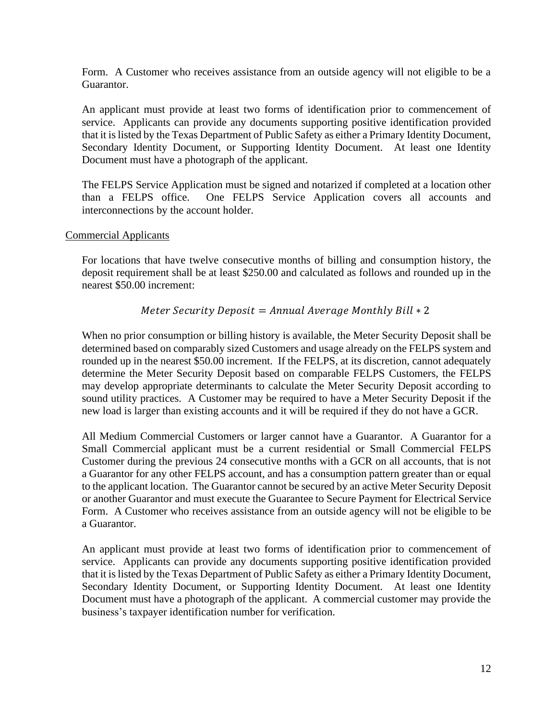Form. A Customer who receives assistance from an outside agency will not eligible to be a Guarantor.

An applicant must provide at least two forms of identification prior to commencement of service. Applicants can provide any documents supporting positive identification provided that it is listed by the Texas Department of Public Safety as either a Primary Identity Document, Secondary Identity Document, or Supporting Identity Document. At least one Identity Document must have a photograph of the applicant.

The FELPS Service Application must be signed and notarized if completed at a location other than a FELPS office. One FELPS Service Application covers all accounts and interconnections by the account holder.

### Commercial Applicants

For locations that have twelve consecutive months of billing and consumption history, the deposit requirement shall be at least \$250.00 and calculated as follows and rounded up in the nearest \$50.00 increment:

## Meter Security Deposit =  $Annual Average Monthly$  Bill  $*$  2

When no prior consumption or billing history is available, the Meter Security Deposit shall be determined based on comparably sized Customers and usage already on the FELPS system and rounded up in the nearest \$50.00 increment. If the FELPS, at its discretion, cannot adequately determine the Meter Security Deposit based on comparable FELPS Customers, the FELPS may develop appropriate determinants to calculate the Meter Security Deposit according to sound utility practices. A Customer may be required to have a Meter Security Deposit if the new load is larger than existing accounts and it will be required if they do not have a GCR.

All Medium Commercial Customers or larger cannot have a Guarantor. A Guarantor for a Small Commercial applicant must be a current residential or Small Commercial FELPS Customer during the previous 24 consecutive months with a GCR on all accounts, that is not a Guarantor for any other FELPS account, and has a consumption pattern greater than or equal to the applicant location. The Guarantor cannot be secured by an active Meter Security Deposit or another Guarantor and must execute the Guarantee to Secure Payment for Electrical Service Form. A Customer who receives assistance from an outside agency will not be eligible to be a Guarantor.

An applicant must provide at least two forms of identification prior to commencement of service. Applicants can provide any documents supporting positive identification provided that it is listed by the Texas Department of Public Safety as either a Primary Identity Document, Secondary Identity Document, or Supporting Identity Document. At least one Identity Document must have a photograph of the applicant. A commercial customer may provide the business's taxpayer identification number for verification.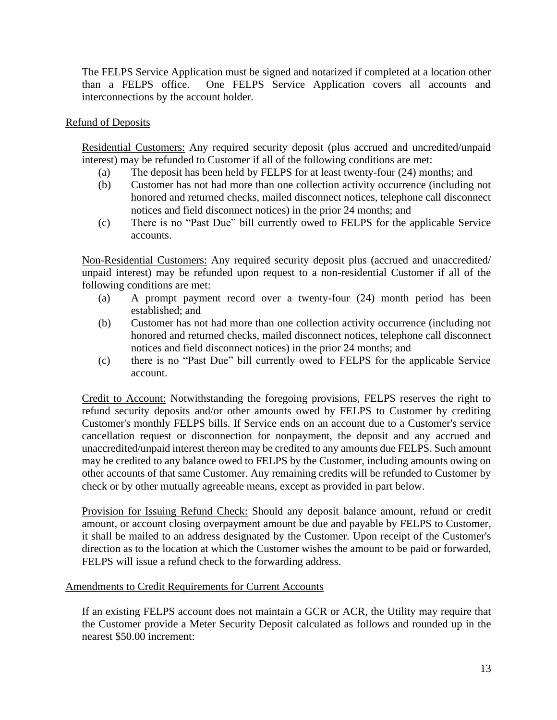The FELPS Service Application must be signed and notarized if completed at a location other than a FELPS office. One FELPS Service Application covers all accounts and interconnections by the account holder.

### Refund of Deposits

Residential Customers: Any required security deposit (plus accrued and uncredited/unpaid interest) may be refunded to Customer if all of the following conditions are met:

- (a) The deposit has been held by FELPS for at least twenty-four (24) months; and
- (b) Customer has not had more than one collection activity occurrence (including not honored and returned checks, mailed disconnect notices, telephone call disconnect notices and field disconnect notices) in the prior 24 months; and
- (c) There is no "Past Due" bill currently owed to FELPS for the applicable Service accounts.

Non-Residential Customers: Any required security deposit plus (accrued and unaccredited/ unpaid interest) may be refunded upon request to a non-residential Customer if all of the following conditions are met:

- (a) A prompt payment record over a twenty-four (24) month period has been established; and
- (b) Customer has not had more than one collection activity occurrence (including not honored and returned checks, mailed disconnect notices, telephone call disconnect notices and field disconnect notices) in the prior 24 months; and
- (c) there is no "Past Due" bill currently owed to FELPS for the applicable Service account.

Credit to Account: Notwithstanding the foregoing provisions, FELPS reserves the right to refund security deposits and/or other amounts owed by FELPS to Customer by crediting Customer's monthly FELPS bills. If Service ends on an account due to a Customer's service cancellation request or disconnection for nonpayment, the deposit and any accrued and unaccredited/unpaid interest thereon may be credited to any amounts due FELPS. Such amount may be credited to any balance owed to FELPS by the Customer, including amounts owing on other accounts of that same Customer. Any remaining credits will be refunded to Customer by check or by other mutually agreeable means, except as provided in part below.

Provision for Issuing Refund Check: Should any deposit balance amount, refund or credit amount, or account closing overpayment amount be due and payable by FELPS to Customer, it shall be mailed to an address designated by the Customer. Upon receipt of the Customer's direction as to the location at which the Customer wishes the amount to be paid or forwarded, FELPS will issue a refund check to the forwarding address.

### Amendments to Credit Requirements for Current Accounts

If an existing FELPS account does not maintain a GCR or ACR, the Utility may require that the Customer provide a Meter Security Deposit calculated as follows and rounded up in the nearest \$50.00 increment: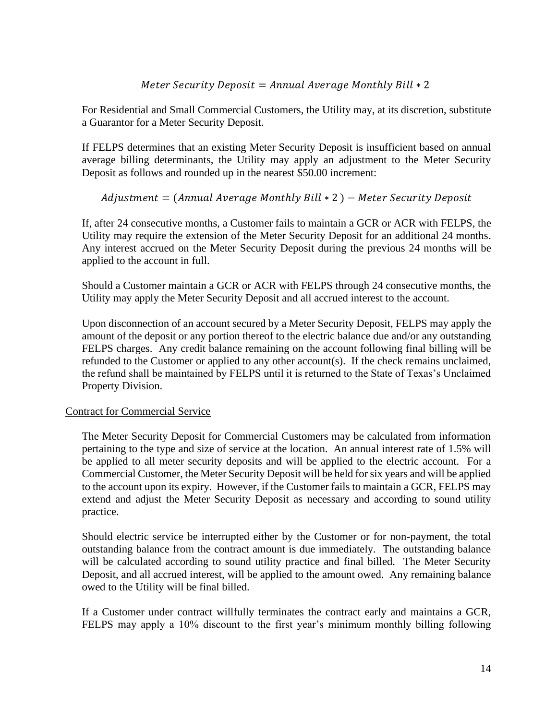### Meter Security Deposit = Annual Average Monthly Bill  $* 2$

For Residential and Small Commercial Customers, the Utility may, at its discretion, substitute a Guarantor for a Meter Security Deposit.

If FELPS determines that an existing Meter Security Deposit is insufficient based on annual average billing determinants, the Utility may apply an adjustment to the Meter Security Deposit as follows and rounded up in the nearest \$50.00 increment:

## $Adj$ ustment = (Annual Average Monthly Bill  $* 2$ ) – Meter Security Deposit

If, after 24 consecutive months, a Customer fails to maintain a GCR or ACR with FELPS, the Utility may require the extension of the Meter Security Deposit for an additional 24 months. Any interest accrued on the Meter Security Deposit during the previous 24 months will be applied to the account in full.

Should a Customer maintain a GCR or ACR with FELPS through 24 consecutive months, the Utility may apply the Meter Security Deposit and all accrued interest to the account.

Upon disconnection of an account secured by a Meter Security Deposit, FELPS may apply the amount of the deposit or any portion thereof to the electric balance due and/or any outstanding FELPS charges. Any credit balance remaining on the account following final billing will be refunded to the Customer or applied to any other account(s). If the check remains unclaimed, the refund shall be maintained by FELPS until it is returned to the State of Texas's Unclaimed Property Division.

### Contract for Commercial Service

The Meter Security Deposit for Commercial Customers may be calculated from information pertaining to the type and size of service at the location. An annual interest rate of 1.5% will be applied to all meter security deposits and will be applied to the electric account. For a Commercial Customer, the Meter Security Deposit will be held for six years and will be applied to the account upon its expiry. However, if the Customer fails to maintain a GCR, FELPS may extend and adjust the Meter Security Deposit as necessary and according to sound utility practice.

Should electric service be interrupted either by the Customer or for non-payment, the total outstanding balance from the contract amount is due immediately. The outstanding balance will be calculated according to sound utility practice and final billed. The Meter Security Deposit, and all accrued interest, will be applied to the amount owed. Any remaining balance owed to the Utility will be final billed.

If a Customer under contract willfully terminates the contract early and maintains a GCR, FELPS may apply a 10% discount to the first year's minimum monthly billing following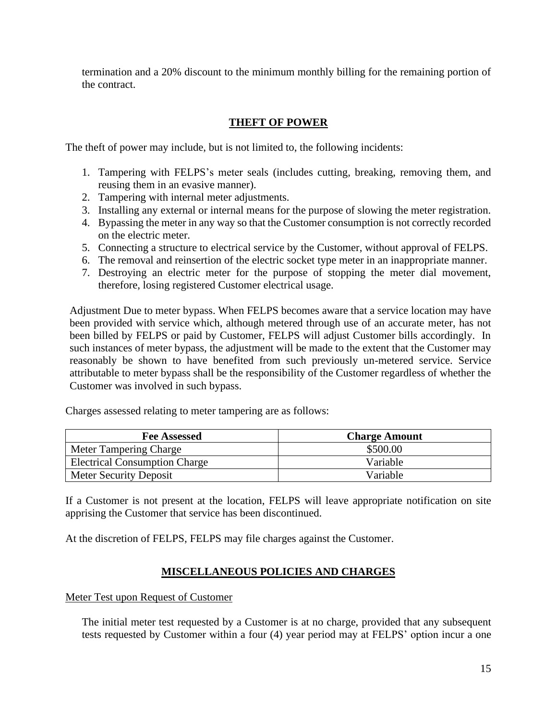termination and a 20% discount to the minimum monthly billing for the remaining portion of the contract.

## **THEFT OF POWER**

The theft of power may include, but is not limited to, the following incidents:

- 1. Tampering with FELPS's meter seals (includes cutting, breaking, removing them, and reusing them in an evasive manner).
- 2. Tampering with internal meter adjustments.
- 3. Installing any external or internal means for the purpose of slowing the meter registration.
- 4. Bypassing the meter in any way so that the Customer consumption is not correctly recorded on the electric meter.
- 5. Connecting a structure to electrical service by the Customer, without approval of FELPS.
- 6. The removal and reinsertion of the electric socket type meter in an inappropriate manner.
- 7. Destroying an electric meter for the purpose of stopping the meter dial movement, therefore, losing registered Customer electrical usage.

Adjustment Due to meter bypass. When FELPS becomes aware that a service location may have been provided with service which, although metered through use of an accurate meter, has not been billed by FELPS or paid by Customer, FELPS will adjust Customer bills accordingly. In such instances of meter bypass, the adjustment will be made to the extent that the Customer may reasonably be shown to have benefited from such previously un-metered service. Service attributable to meter bypass shall be the responsibility of the Customer regardless of whether the Customer was involved in such bypass.

Charges assessed relating to meter tampering are as follows:

| <b>Fee Assessed</b>                  | <b>Charge Amount</b> |
|--------------------------------------|----------------------|
| Meter Tampering Charge               | \$500.00             |
| <b>Electrical Consumption Charge</b> | Variable             |
| Meter Security Deposit               | Variable             |

If a Customer is not present at the location, FELPS will leave appropriate notification on site apprising the Customer that service has been discontinued.

At the discretion of FELPS, FELPS may file charges against the Customer.

## **MISCELLANEOUS POLICIES AND CHARGES**

Meter Test upon Request of Customer

The initial meter test requested by a Customer is at no charge, provided that any subsequent tests requested by Customer within a four (4) year period may at FELPS' option incur a one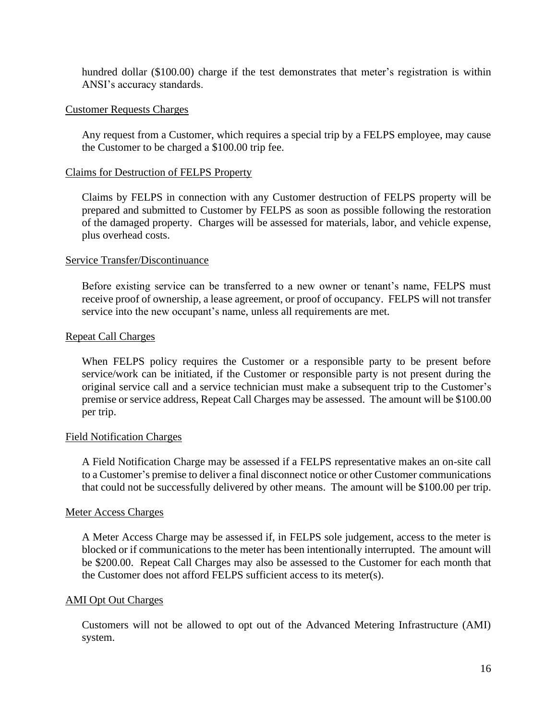hundred dollar (\$100.00) charge if the test demonstrates that meter's registration is within ANSI's accuracy standards.

### Customer Requests Charges

Any request from a Customer, which requires a special trip by a FELPS employee, may cause the Customer to be charged a \$100.00 trip fee.

#### Claims for Destruction of FELPS Property

Claims by FELPS in connection with any Customer destruction of FELPS property will be prepared and submitted to Customer by FELPS as soon as possible following the restoration of the damaged property. Charges will be assessed for materials, labor, and vehicle expense, plus overhead costs.

#### Service Transfer/Discontinuance

Before existing service can be transferred to a new owner or tenant's name, FELPS must receive proof of ownership, a lease agreement, or proof of occupancy. FELPS will not transfer service into the new occupant's name, unless all requirements are met.

#### Repeat Call Charges

When FELPS policy requires the Customer or a responsible party to be present before service/work can be initiated, if the Customer or responsible party is not present during the original service call and a service technician must make a subsequent trip to the Customer's premise or service address, Repeat Call Charges may be assessed. The amount will be \$100.00 per trip.

#### Field Notification Charges

A Field Notification Charge may be assessed if a FELPS representative makes an on-site call to a Customer's premise to deliver a final disconnect notice or other Customer communications that could not be successfully delivered by other means. The amount will be \$100.00 per trip.

#### Meter Access Charges

A Meter Access Charge may be assessed if, in FELPS sole judgement, access to the meter is blocked or if communications to the meter has been intentionally interrupted. The amount will be \$200.00. Repeat Call Charges may also be assessed to the Customer for each month that the Customer does not afford FELPS sufficient access to its meter(s).

#### AMI Opt Out Charges

Customers will not be allowed to opt out of the Advanced Metering Infrastructure (AMI) system.